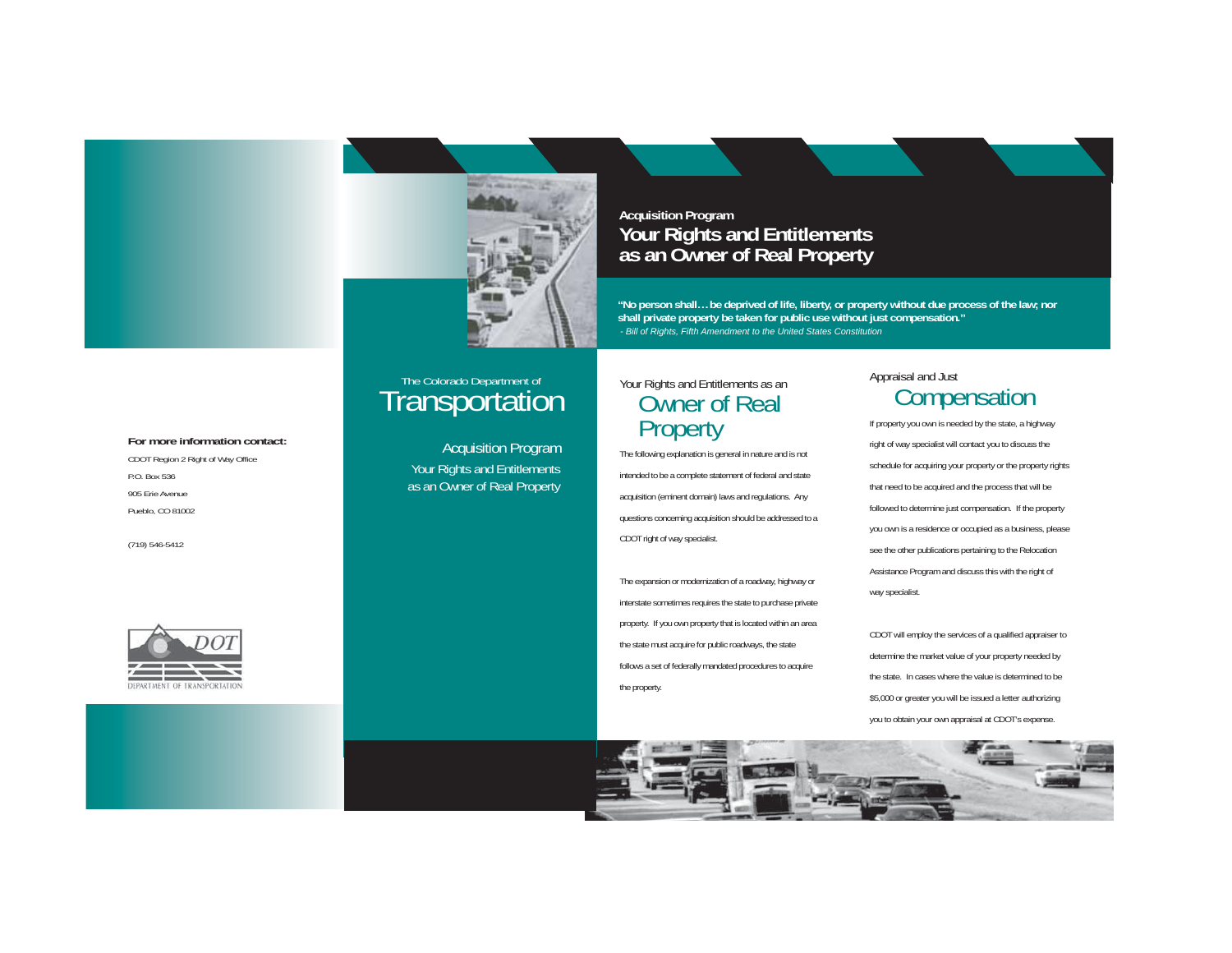

Acquisition Program Your Rights and Entitlements as an Owner of Real Property

### **Acquisition Program Your Rights and Entitlements as an Owner of Real Property**

**"No person shall… be deprived of life, liberty, or property without due process of the law; nor shall private property be taken for public use without just compensation."**  *- Bill of Rights, Fifth Amendment to the United States Constitution*

# The Colorado Department of Transportation Your Rights and Entitlements as an Owner of Real Property

The following explanation is general in nature and is not intended to be a complete statement of federal and state acquisition (eminent domain) laws and regulations. Any questions concerning acquisition should be addressed to a CDOT right of way specialist.

The expansion or modernization of a roadway, highway or interstate sometimes requires the state to purchase private property. If you own property that is located within an area the state must acquire for public roadways, the state follows a set of federally mandated procedures to acquire the property.

# Appraisal and Just **Compensation**

If property you own is needed by the state, a highway right of way specialist will contact you to discuss the schedule for acquiring your property or the property rights that need to be acquired and the process that will be followed to determine just compensation. If the property you own is a residence or occupied as a business, please see the other publications pertaining to the Relocation Assistance Program and discuss this with the right of way specialist.

CDOT will employ the services of a qualified appraiser to determine the market value of your property needed by the state. In cases where the value is determined to be \$5,000 or greater you will be issued a letter authorizing you to obtain your own appraisal at CDOT's expense.



**For more information contact:**CDOT Region 2 Right of Way Office

Pueblo, CO 81002

P.O. Box 536

(719) 546-5412